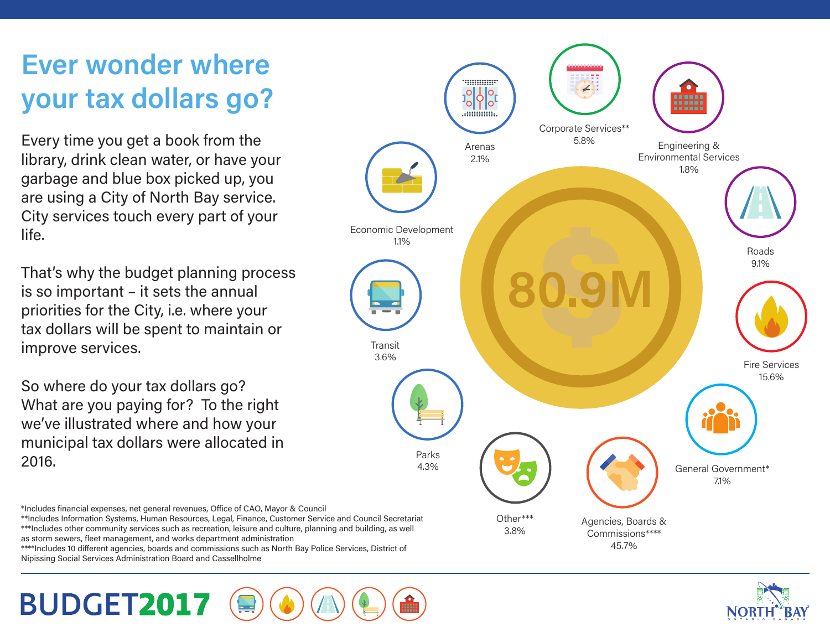# **Ever wonder where your tax dollars go?**

Every time you get a book from the library, drink clean water, or have your garbage and blue box picked up, you are using a City of North Bay service. City services touch every part of your life.

That's why the budget planning process is so important – it sets the annual priorities for the City, i.e. where your tax dollars will be spent to maintain or improve services.

So where do your tax dollars go? What are you paying for? To the right we've illustrated where and how your municipal tax dollars were allocated in 2016.

\*Includes financial expenses, net general revenues, Office of CAO, Mayor & Council \*\*Includes Information Systems, Human Resources, Legal, Finance, Customer Service and Council Secretariat

\*\*\*Includes other community services such as recreation, leisure and culture, planning and building, as well as storm sewers, fleet management, and works department administration

\*\*\*\*Includes 10 different agencies, boards and commissions such as North Bay Police Services, District of Nipissing Social Services Administration Board and Cassellholme



45.7%